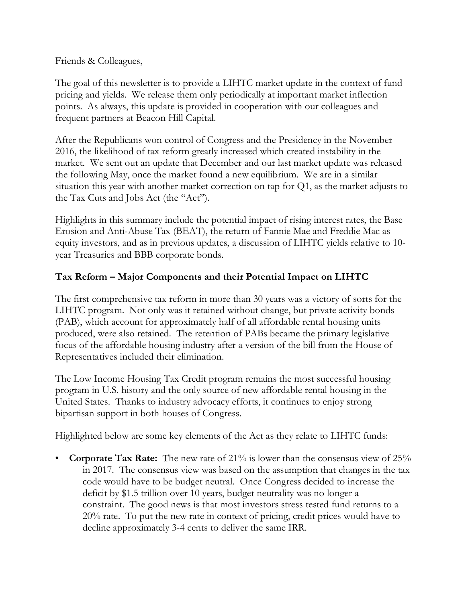Friends & Colleagues,

The goal of this newsletter is to provide a LIHTC market update in the context of fund pricing and yields. We release them only periodically at important market inflection points. As always, this update is provided in cooperation with our colleagues and frequent partners at Beacon Hill Capital.

After the Republicans won control of Congress and the Presidency in the November 2016, the likelihood of tax reform greatly increased which created instability in the market. We sent out an update that December and our last market update was released the following May, once the market found a new equilibrium. We are in a similar situation this year with another market correction on tap for Q1, as the market adjusts to the Tax Cuts and Jobs Act (the "Act").

Highlights in this summary include the potential impact of rising interest rates, the Base Erosion and Anti-Abuse Tax (BEAT), the return of Fannie Mae and Freddie Mac as equity investors, and as in previous updates, a discussion of LIHTC yields relative to 10 year Treasuries and BBB corporate bonds.

## **Tax Reform – Major Components and their Potential Impact on LIHTC**

The first comprehensive tax reform in more than 30 years was a victory of sorts for the LIHTC program. Not only was it retained without change, but private activity bonds (PAB), which account for approximately half of all affordable rental housing units produced, were also retained. The retention of PABs became the primary legislative focus of the affordable housing industry after a version of the bill from the House of Representatives included their elimination.

The Low Income Housing Tax Credit program remains the most successful housing program in U.S. history and the only source of new affordable rental housing in the United States. Thanks to industry advocacy efforts, it continues to enjoy strong bipartisan support in both houses of Congress.

Highlighted below are some key elements of the Act as they relate to LIHTC funds:

• **Corporate Tax Rate:** The new rate of 21% is lower than the consensus view of 25% in 2017. The consensus view was based on the assumption that changes in the tax code would have to be budget neutral. Once Congress decided to increase the deficit by \$1.5 trillion over 10 years, budget neutrality was no longer a constraint. The good news is that most investors stress tested fund returns to a 20% rate. To put the new rate in context of pricing, credit prices would have to decline approximately 3-4 cents to deliver the same IRR.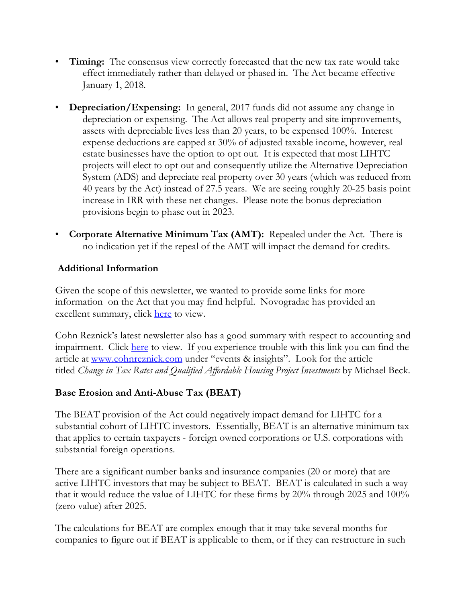- **Timing:** The consensus view correctly forecasted that the new tax rate would take effect immediately rather than delayed or phased in. The Act became effective January 1, 2018.
- **Depreciation/Expensing:** In general, 2017 funds did not assume any change in depreciation or expensing. The Act allows real property and site improvements, assets with depreciable lives less than 20 years, to be expensed 100%. Interest expense deductions are capped at 30% of adjusted taxable income, however, real estate businesses have the option to opt out. It is expected that most LIHTC projects will elect to opt out and consequently utilize the Alternative Depreciation System (ADS) and depreciate real property over 30 years (which was reduced from 40 years by the Act) instead of 27.5 years. We are seeing roughly 20-25 basis point increase in IRR with these net changes. Please note the bonus depreciation provisions begin to phase out in 2023.
- **Corporate Alternative Minimum Tax (AMT):** Repealed under the Act. There is no indication yet if the repeal of the AMT will impact the demand for credits.

## **Additional Information**

Given the scope of this newsletter, we wanted to provide some links for more information on the Act that you may find helpful. Novogradac has provided an excellent summary, click here to view.

Cohn Reznick's latest newsletter also has a good summary with respect to accounting and impairment. Click here to view. If you experience trouble with this link you can find the article at www.cohnreznick.com under "events & insights". Look for the article titled *Change in Tax Rates and Qualified Affordable Housing Project Investments* by Michael Beck.

# **Base Erosion and Anti-Abuse Tax (BEAT)**

The BEAT provision of the Act could negatively impact demand for LIHTC for a substantial cohort of LIHTC investors. Essentially, BEAT is an alternative minimum tax that applies to certain taxpayers - foreign owned corporations or U.S. corporations with substantial foreign operations.

There are a significant number banks and insurance companies (20 or more) that are active LIHTC investors that may be subject to BEAT. BEAT is calculated in such a way that it would reduce the value of LIHTC for these firms by 20% through 2025 and 100% (zero value) after 2025.

The calculations for BEAT are complex enough that it may take several months for companies to figure out if BEAT is applicable to them, or if they can restructure in such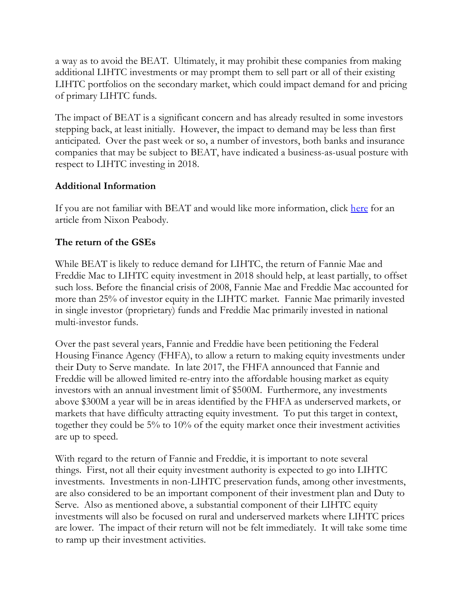a way as to avoid the BEAT. Ultimately, it may prohibit these companies from making additional LIHTC investments or may prompt them to sell part or all of their existing LIHTC portfolios on the secondary market, which could impact demand for and pricing of primary LIHTC funds.

The impact of BEAT is a significant concern and has already resulted in some investors stepping back, at least initially. However, the impact to demand may be less than first anticipated. Over the past week or so, a number of investors, both banks and insurance companies that may be subject to BEAT, have indicated a business-as-usual posture with respect to LIHTC investing in 2018.

## **Additional Information**

If you are not familiar with BEAT and would like more information, click here for an article from Nixon Peabody.

# **The return of the GSEs**

While BEAT is likely to reduce demand for LIHTC, the return of Fannie Mae and Freddie Mac to LIHTC equity investment in 2018 should help, at least partially, to offset such loss. Before the financial crisis of 2008, Fannie Mae and Freddie Mac accounted for more than 25% of investor equity in the LIHTC market. Fannie Mae primarily invested in single investor (proprietary) funds and Freddie Mac primarily invested in national multi-investor funds.

Over the past several years, Fannie and Freddie have been petitioning the Federal Housing Finance Agency (FHFA), to allow a return to making equity investments under their Duty to Serve mandate. In late 2017, the FHFA announced that Fannie and Freddie will be allowed limited re-entry into the affordable housing market as equity investors with an annual investment limit of \$500M. Furthermore, any investments above \$300M a year will be in areas identified by the FHFA as underserved markets, or markets that have difficulty attracting equity investment. To put this target in context, together they could be 5% to 10% of the equity market once their investment activities are up to speed.

With regard to the return of Fannie and Freddie, it is important to note several things. First, not all their equity investment authority is expected to go into LIHTC investments. Investments in non-LIHTC preservation funds, among other investments, are also considered to be an important component of their investment plan and Duty to Serve. Also as mentioned above, a substantial component of their LIHTC equity investments will also be focused on rural and underserved markets where LIHTC prices are lower. The impact of their return will not be felt immediately. It will take some time to ramp up their investment activities.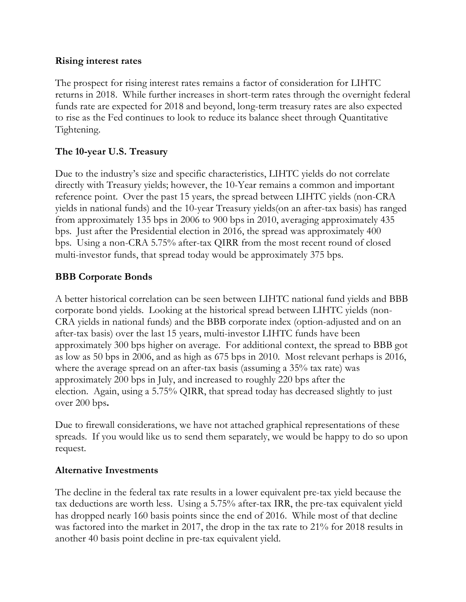#### **Rising interest rates**

The prospect for rising interest rates remains a factor of consideration for LIHTC returns in 2018. While further increases in short-term rates through the overnight federal funds rate are expected for 2018 and beyond, long-term treasury rates are also expected to rise as the Fed continues to look to reduce its balance sheet through Quantitative Tightening.

### **The 10-year U.S. Treasury**

Due to the industry's size and specific characteristics, LIHTC yields do not correlate directly with Treasury yields; however, the 10-Year remains a common and important reference point. Over the past 15 years, the spread between LIHTC yields (non-CRA yields in national funds) and the 10-year Treasury yields(on an after-tax basis) has ranged from approximately 135 bps in 2006 to 900 bps in 2010, averaging approximately 435 bps. Just after the Presidential election in 2016, the spread was approximately 400 bps. Using a non-CRA 5.75% after-tax QIRR from the most recent round of closed multi-investor funds, that spread today would be approximately 375 bps.

### **BBB Corporate Bonds**

A better historical correlation can be seen between LIHTC national fund yields and BBB corporate bond yields. Looking at the historical spread between LIHTC yields (non-CRA yields in national funds) and the BBB corporate index (option-adjusted and on an after-tax basis) over the last 15 years, multi-investor LIHTC funds have been approximately 300 bps higher on average. For additional context, the spread to BBB got as low as 50 bps in 2006, and as high as 675 bps in 2010. Most relevant perhaps is 2016, where the average spread on an after-tax basis (assuming a 35% tax rate) was approximately 200 bps in July, and increased to roughly 220 bps after the election. Again, using a 5.75% QIRR, that spread today has decreased slightly to just over 200 bps**.**

Due to firewall considerations, we have not attached graphical representations of these spreads. If you would like us to send them separately, we would be happy to do so upon request.

#### **Alternative Investments**

The decline in the federal tax rate results in a lower equivalent pre-tax yield because the tax deductions are worth less. Using a 5.75% after-tax IRR, the pre-tax equivalent yield has dropped nearly 160 basis points since the end of 2016. While most of that decline was factored into the market in 2017, the drop in the tax rate to 21% for 2018 results in another 40 basis point decline in pre-tax equivalent yield.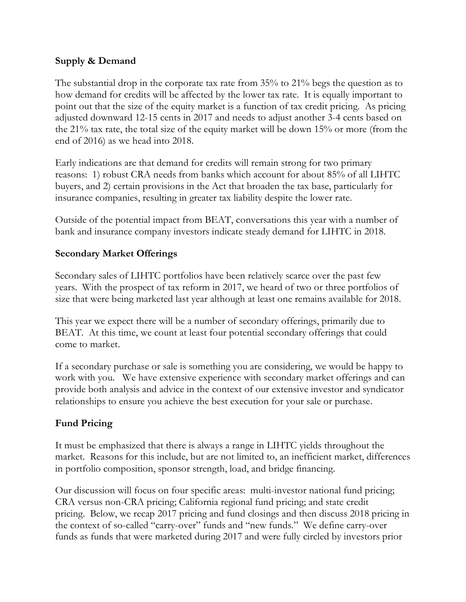## **Supply & Demand**

The substantial drop in the corporate tax rate from 35% to 21% begs the question as to how demand for credits will be affected by the lower tax rate. It is equally important to point out that the size of the equity market is a function of tax credit pricing. As pricing adjusted downward 12-15 cents in 2017 and needs to adjust another 3-4 cents based on the 21% tax rate, the total size of the equity market will be down 15% or more (from the end of 2016) as we head into 2018.

Early indications are that demand for credits will remain strong for two primary reasons: 1) robust CRA needs from banks which account for about 85% of all LIHTC buyers, and 2) certain provisions in the Act that broaden the tax base, particularly for insurance companies, resulting in greater tax liability despite the lower rate.

Outside of the potential impact from BEAT, conversations this year with a number of bank and insurance company investors indicate steady demand for LIHTC in 2018.

### **Secondary Market Offerings**

Secondary sales of LIHTC portfolios have been relatively scarce over the past few years. With the prospect of tax reform in 2017, we heard of two or three portfolios of size that were being marketed last year although at least one remains available for 2018.

This year we expect there will be a number of secondary offerings, primarily due to BEAT. At this time, we count at least four potential secondary offerings that could come to market.

If a secondary purchase or sale is something you are considering, we would be happy to work with you. We have extensive experience with secondary market offerings and can provide both analysis and advice in the context of our extensive investor and syndicator relationships to ensure you achieve the best execution for your sale or purchase.

## **Fund Pricing**

It must be emphasized that there is always a range in LIHTC yields throughout the market. Reasons for this include, but are not limited to, an inefficient market, differences in portfolio composition, sponsor strength, load, and bridge financing.

Our discussion will focus on four specific areas: multi-investor national fund pricing; CRA versus non-CRA pricing; California regional fund pricing; and state credit pricing. Below, we recap 2017 pricing and fund closings and then discuss 2018 pricing in the context of so-called "carry-over" funds and "new funds." We define carry-over funds as funds that were marketed during 2017 and were fully circled by investors prior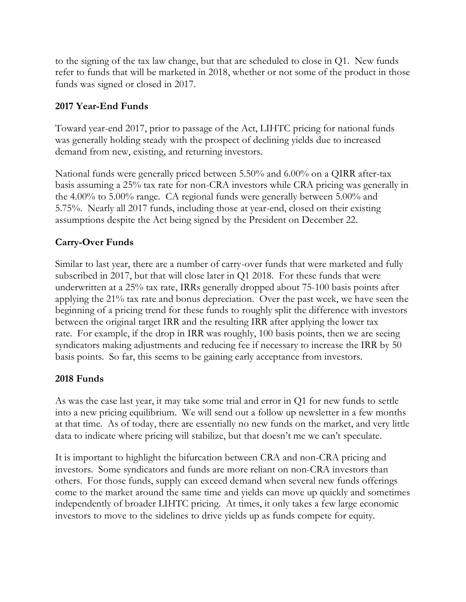to the signing of the tax law change, but that are scheduled to close in Q1. New funds refer to funds that will be marketed in 2018, whether or not some of the product in those funds was signed or closed in 2017.

## **2017 Year-End Funds**

Toward year-end 2017, prior to passage of the Act, LIHTC pricing for national funds was generally holding steady with the prospect of declining yields due to increased demand from new, existing, and returning investors.

National funds were generally priced between 5.50% and 6.00% on a QIRR after-tax basis assuming a 25% tax rate for non-CRA investors while CRA pricing was generally in the 4.00% to 5.00% range. CA regional funds were generally between 5.00% and 5.75%. Nearly all 2017 funds, including those at year-end, closed on their existing assumptions despite the Act being signed by the President on December 22.

# **Carry-Over Funds**

Similar to last year, there are a number of carry-over funds that were marketed and fully subscribed in 2017, but that will close later in Q1 2018. For these funds that were underwritten at a 25% tax rate, IRRs generally dropped about 75-100 basis points after applying the 21% tax rate and bonus depreciation. Over the past week, we have seen the beginning of a pricing trend for these funds to roughly split the difference with investors between the original target IRR and the resulting IRR after applying the lower tax rate. For example, if the drop in IRR was roughly, 100 basis points, then we are seeing syndicators making adjustments and reducing fee if necessary to increase the IRR by 50 basis points. So far, this seems to be gaining early acceptance from investors.

## **2018 Funds**

As was the case last year, it may take some trial and error in Q1 for new funds to settle into a new pricing equilibrium. We will send out a follow up newsletter in a few months at that time. As of today, there are essentially no new funds on the market, and very little data to indicate where pricing will stabilize, but that doesn't me we can't speculate.

It is important to highlight the bifurcation between CRA and non-CRA pricing and investors. Some syndicators and funds are more reliant on non-CRA investors than others. For those funds, supply can exceed demand when several new funds offerings come to the market around the same time and yields can move up quickly and sometimes independently of broader LIHTC pricing. At times, it only takes a few large economic investors to move to the sidelines to drive yields up as funds compete for equity.